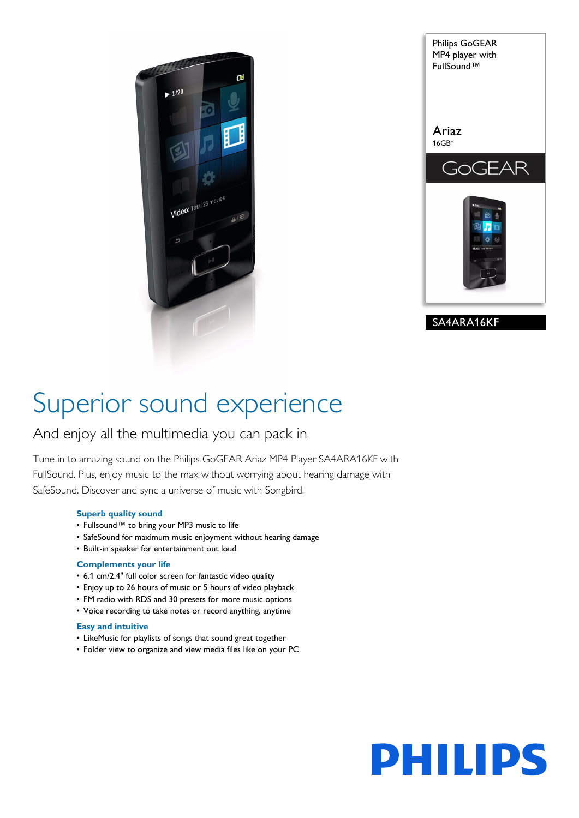



## Superior sound experience

### And enjoy all the multimedia you can pack in

Tune in to amazing sound on the Philips GoGEAR Ariaz MP4 Player SA4ARA16KF with FullSound. Plus, enjoy music to the max without worrying about hearing damage with SafeSound. Discover and sync a universe of music with Songbird.

#### **Superb quality sound**

- Fullsound™ to bring your MP3 music to life
- SafeSound for maximum music enjoyment without hearing damage
- Built-in speaker for entertainment out loud

#### **Complements your life**

- 6.1 cm/2.4" full color screen for fantastic video quality
- Enjoy up to 26 hours of music or 5 hours of video playback
- FM radio with RDS and 30 presets for more music options
- Voice recording to take notes or record anything, anytime

#### **Easy and intuitive**

- LikeMusic for playlists of songs that sound great together
- Folder view to organize and view media files like on your PC

# **PHILIPS**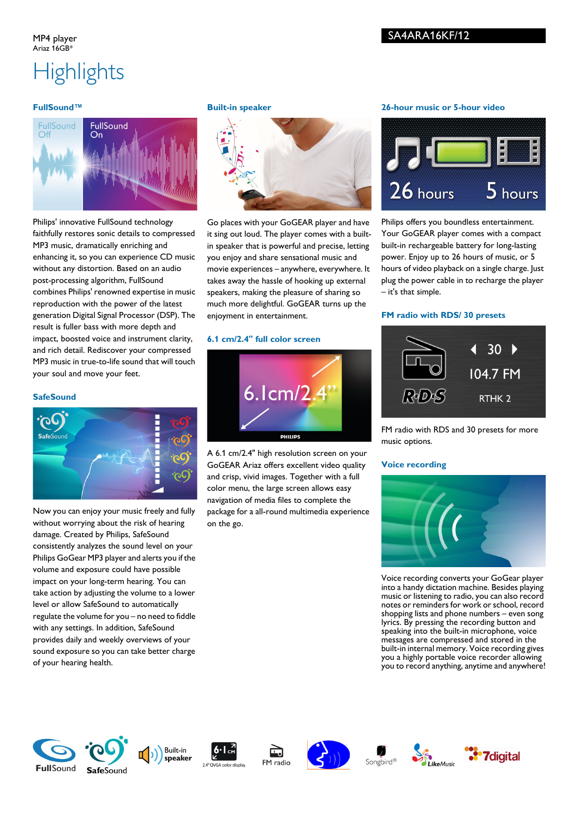#### MP4 player Ariaz 16GB\*

#### SA4ARA16KF/12

## **Highlights**

#### **FullSound™**



Philips' innovative FullSound technology faithfully restores sonic details to compressed MP3 music, dramatically enriching and enhancing it, so you can experience CD music without any distortion. Based on an audio post-processing algorithm, FullSound combines Philips' renowned expertise in music reproduction with the power of the latest generation Digital Signal Processor (DSP). The result is fuller bass with more depth and impact, boosted voice and instrument clarity, and rich detail. Rediscover your compressed MP3 music in true-to-life sound that will touch your soul and move your feet.

#### **SafeSound**



Now you can enjoy your music freely and fully without worrying about the risk of hearing damage. Created by Philips, SafeSound consistently analyzes the sound level on your Philips GoGear MP3 player and alerts you if the volume and exposure could have possible impact on your long-term hearing. You can take action by adjusting the volume to a lower level or allow SafeSound to automatically regulate the volume for you – no need to fiddle with any settings. In addition, SafeSound provides daily and weekly overviews of your sound exposure so you can take better charge of your hearing health.

#### **Built-in speaker**



Go places with your GoGEAR player and have it sing out loud. The player comes with a builtin speaker that is powerful and precise, letting you enjoy and share sensational music and movie experiences – anywhere, everywhere. It takes away the hassle of hooking up external speakers, making the pleasure of sharing so much more delightful. GoGEAR turns up the enjoyment in entertainment.

#### **6.1 cm/2.4" full color screen**



A 6.1 cm/2.4" high resolution screen on your GoGEAR Ariaz offers excellent video quality and crisp, vivid images. Together with a full color menu, the large screen allows easy navigation of media files to complete the package for a all-round multimedia experience on the go.

#### **26-hour music or 5-hour video**



Philips offers you boundless entertainment. Your GoGEAR player comes with a compact built-in rechargeable battery for long-lasting power. Enjoy up to 26 hours of music, or 5 hours of video playback on a single charge. Just plug the power cable in to recharge the player – it's that simple.

#### **FM radio with RDS/ 30 presets**



FM radio with RDS and 30 presets for more music options.

#### **Voice recording**



Voice recording converts your GoGear player into a handy dictation machine. Besides playing music or listening to radio, you can also record notes or reminders for work or school, record shopping lists and phone numbers – even song lyrics. By pressing the recording button and speaking into the built-in microphone, voice messages are compressed and stored in the built-in internal memory. Voice recording gives you a highly portable voice recorder allowing you to record anything, anytime and anywhere!